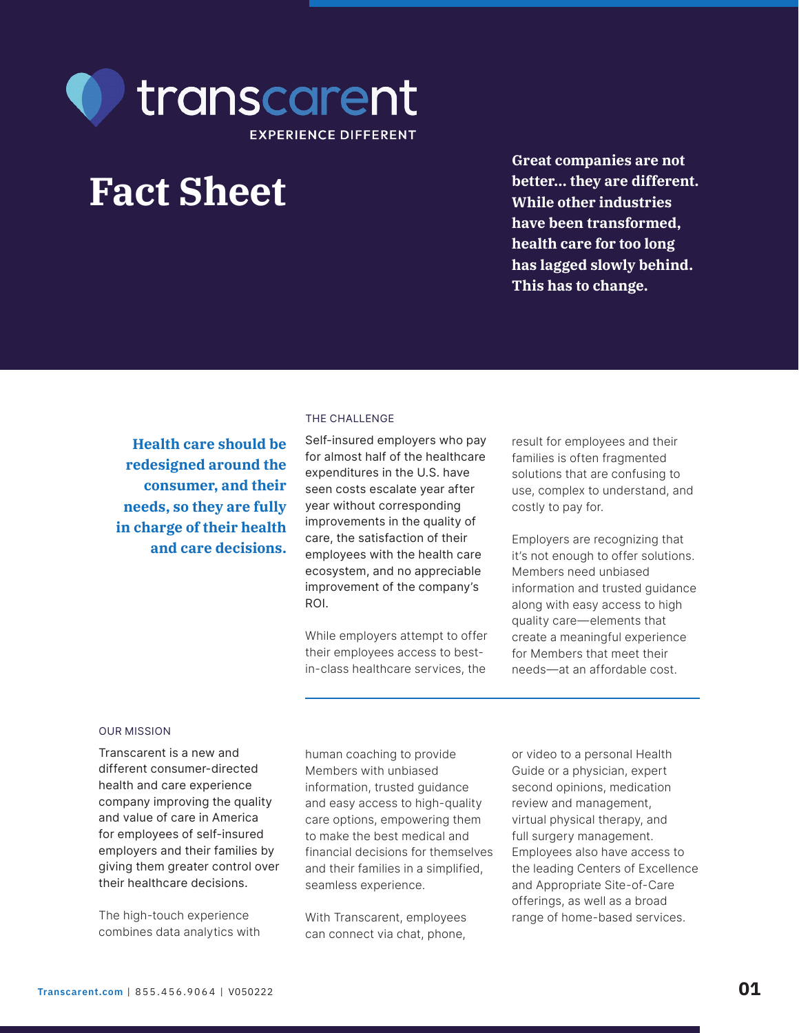

# **Fact Sheet**

**Great companies are not better... they are different. While other industries have been transformed, health care for too long has lagged slowly behind. This has to change.**

**Health care should be redesigned around the consumer, and their needs, so they are fully in charge of their health and care decisions.**

### THE CHALLENGE

Self-insured employers who pay for almost half of the healthcare expenditures in the U.S. have seen costs escalate year after year without corresponding improvements in the quality of care, the satisfaction of their employees with the health care ecosystem, and no appreciable improvement of the company's ROI.

While employers attempt to offer their employees access to bestin-class healthcare services, the

result for employees and their families is often fragmented solutions that are confusing to use, complex to understand, and costly to pay for.

Employers are recognizing that it's not enough to offer solutions. Members need unbiased information and trusted guidance along with easy access to high quality care—elements that create a meaningful experience for Members that meet their needs—at an affordable cost.

### OUR MISSION

Transcarent is a new and different consumer-directed health and care experience company improving the quality and value of care in America for employees of self-insured employers and their families by giving them greater control over their healthcare decisions.

The high-touch experience combines data analytics with human coaching to provide Members with unbiased information, trusted guidance and easy access to high-quality care options, empowering them to make the best medical and financial decisions for themselves and their families in a simplified, seamless experience.

With Transcarent, employees can connect via chat, phone,

or video to a personal Health Guide or a physician, expert second opinions, medication review and management, virtual physical therapy, and full surgery management. Employees also have access to the leading Centers of Excellence and Appropriate Site-of-Care offerings, as well as a broad range of home-based services.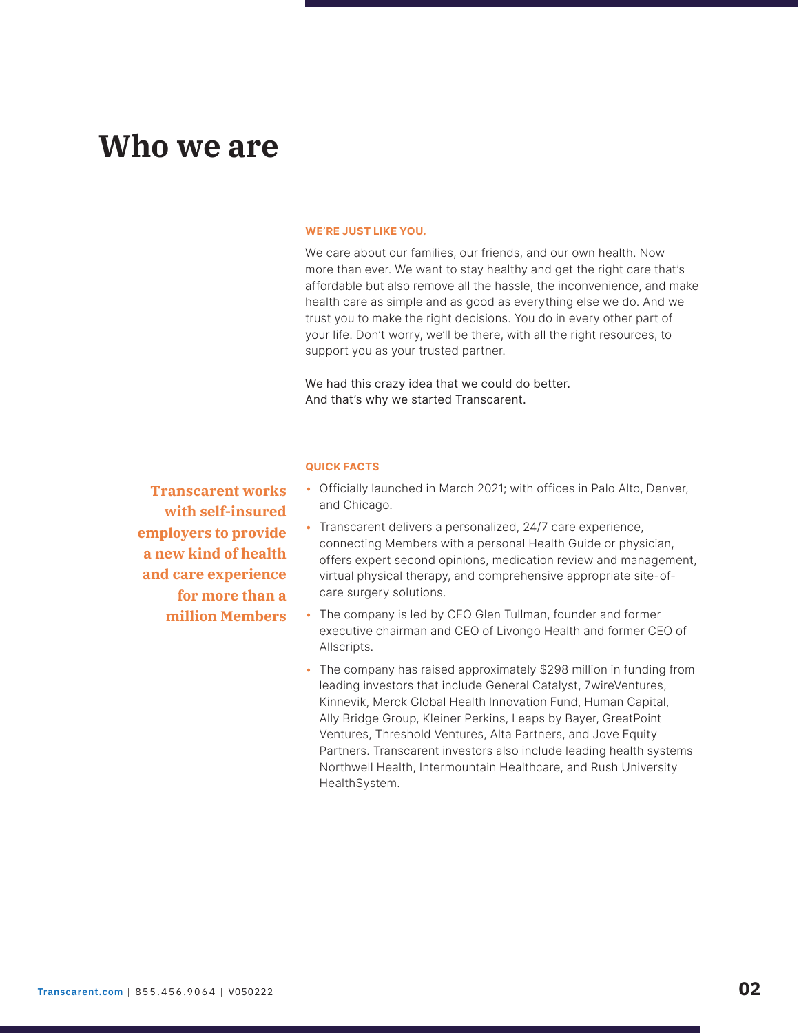## **Who we are**

#### WE'RE JUST LIKE YOU.

We care about our families, our friends, and our own health. Now more than ever. We want to stay healthy and get the right care that's affordable but also remove all the hassle, the inconvenience, and make health care as simple and as good as everything else we do. And we trust you to make the right decisions. You do in every other part of your life. Don't worry, we'll be there, with all the right resources, to support you as your trusted partner.

We had this crazy idea that we could do better. And that's why we started Transcarent.

**Transcarent works with self-insured employers to provide a new kind of health and care experience for more than a million Members**

### QUICK FACTS

- Officially launched in March 2021; with offices in Palo Alto, Denver, and Chicago.
- Transcarent delivers a personalized, 24/7 care experience, connecting Members with a personal Health Guide or physician, offers expert second opinions, medication review and management, virtual physical therapy, and comprehensive appropriate site-ofcare surgery solutions.
- The company is led by CEO Glen Tullman, founder and former executive chairman and CEO of Livongo Health and former CEO of Allscripts.
- The company has raised approximately \$298 million in funding from leading investors that include General Catalyst, 7wireVentures, Kinnevik, Merck Global Health Innovation Fund, Human Capital, Ally Bridge Group, Kleiner Perkins, Leaps by Bayer, GreatPoint Ventures, Threshold Ventures, Alta Partners, and Jove Equity Partners. Transcarent investors also include leading health systems Northwell Health, Intermountain Healthcare, and Rush University HealthSystem.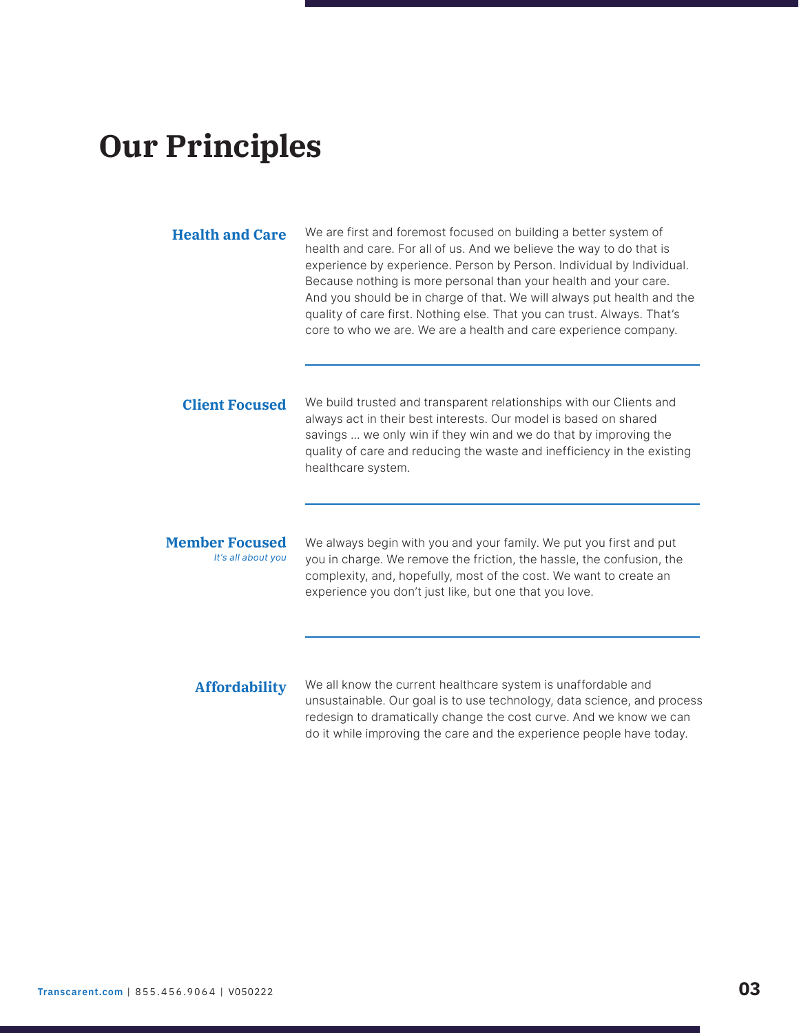## **Our Principles**

| <b>Health and Care</b>                      | We are first and foremost focused on building a better system of<br>health and care. For all of us. And we believe the way to do that is<br>experience by experience. Person by Person. Individual by Individual.<br>Because nothing is more personal than your health and your care.<br>And you should be in charge of that. We will always put health and the<br>quality of care first. Nothing else. That you can trust. Always. That's<br>core to who we are. We are a health and care experience company. |
|---------------------------------------------|----------------------------------------------------------------------------------------------------------------------------------------------------------------------------------------------------------------------------------------------------------------------------------------------------------------------------------------------------------------------------------------------------------------------------------------------------------------------------------------------------------------|
| <b>Client Focused</b>                       | We build trusted and transparent relationships with our Clients and<br>always act in their best interests. Our model is based on shared<br>savings  we only win if they win and we do that by improving the<br>quality of care and reducing the waste and inefficiency in the existing<br>healthcare system.                                                                                                                                                                                                   |
| <b>Member Focused</b><br>It's all about you | We always begin with you and your family. We put you first and put<br>you in charge. We remove the friction, the hassle, the confusion, the<br>complexity, and, hopefully, most of the cost. We want to create an<br>experience you don't just like, but one that you love.                                                                                                                                                                                                                                    |
| <b>Affordability</b>                        | We all know the current healthcare system is unaffordable and<br>unsustainable. Our goal is to use technology, data science, and process<br>redesign to dramatically change the cost curve. And we know we can                                                                                                                                                                                                                                                                                                 |

do it while improving the care and the experience people have today.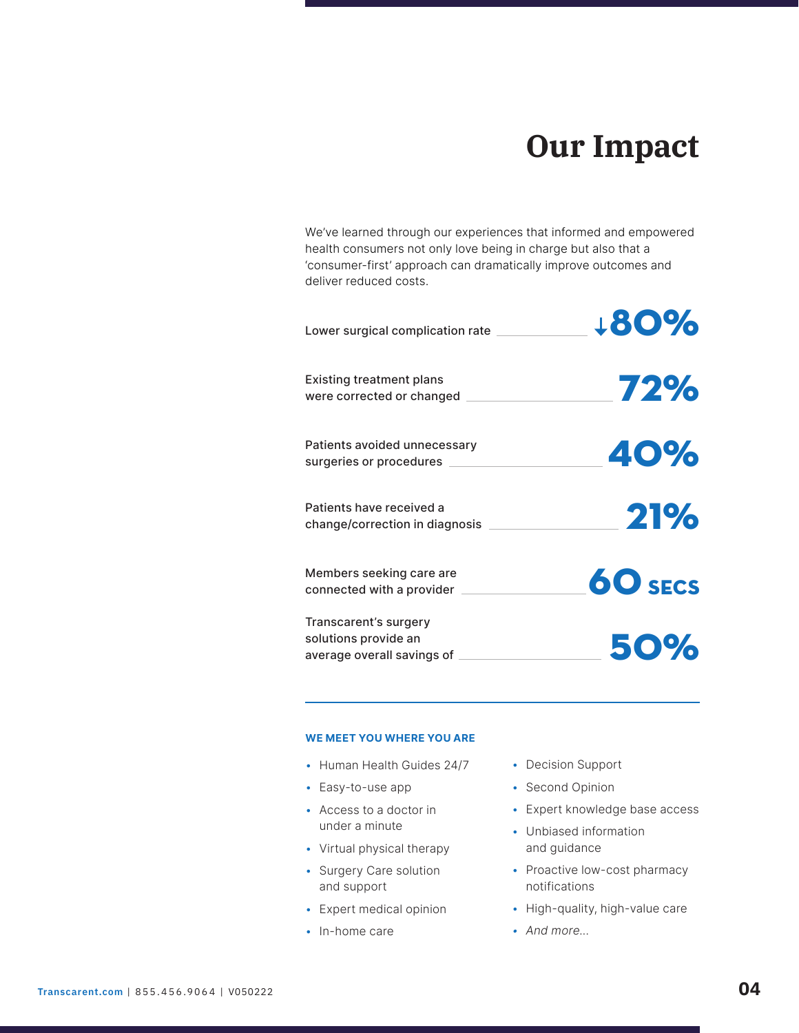## **Our Impact**

We've learned through our experiences that informed and empowered health consumers not only love being in charge but also that a 'consumer-first' approach can dramatically improve outcomes and deliver reduced costs.

| Lower surgical complication rate                                            | +80%           |
|-----------------------------------------------------------------------------|----------------|
| <b>Existing treatment plans</b><br>were corrected or changed                | 72%            |
| Patients avoided unnecessary<br>surgeries or procedures __                  | 40%            |
| Patients have received a<br>change/correction in diagnosis                  | 21%            |
| Members seeking care are<br>connected with a provider                       | <b>60 SECS</b> |
| Transcarent's surgery<br>solutions provide an<br>average overall savings of | 50%            |

### WE MEET YOU WHERE YOU ARE

- Human Health Guides 24/7
- Easy-to-use app
- Access to a doctor in under a minute
- Virtual physical therapy
- Surgery Care solution and support
- Expert medical opinion
- In-home care
- Decision Support
- Second Opinion
- Expert knowledge base access
- Unbiased information and guidance
- Proactive low-cost pharmacy notifications
- High-quality, high-value care
- And more...